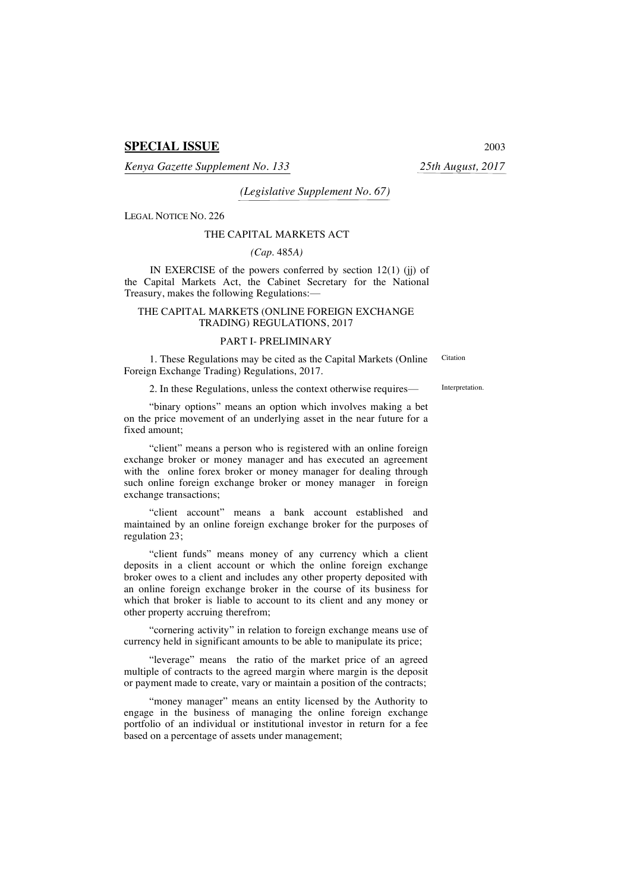# **SPECIAL ISSUE** 2003

*Kenya Gazette Supplement No. 133 25th August, 2017*

*(Legislative Supplement No. 67)*

LEGAL NOTICE NO. 226

#### THE CAPITAL MARKETS ACT

#### *(Cap.* 485*A)*

IN EXERCISE of the powers conferred by section  $12(1)$  (ji) of the Capital Markets Act, the Cabinet Secretary for the National Treasury, makes the following Regulations:—

### THE CAPITAL MARKETS (ONLINE FOREIGN EXCHANGE TRADING) REGULATIONS, 2017

### PART I- PRELIMINARY

1. These Regulations may be cited as the Capital Markets (Online Foreign Exchange Trading) Regulations, 2017.

Citation

2. In these Regulations, unless the context otherwise requires— Interpretation.

"binary options" means an option which involves making a bet on the price movement of an underlying asset in the near future for a fixed amount;

"client" means a person who is registered with an online foreign exchange broker or money manager and has executed an agreement with the online forex broker or money manager for dealing through such online foreign exchange broker or money manager in foreign exchange transactions;

"client account" means a bank account established and maintained by an online foreign exchange broker for the purposes of regulation 23;

"client funds" means money of any currency which a client deposits in a client account or which the online foreign exchange broker owes to a client and includes any other property deposited with an online foreign exchange broker in the course of its business for which that broker is liable to account to its client and any money or other property accruing therefrom;

"cornering activity" in relation to foreign exchange means use of currency held in significant amounts to be able to manipulate its price;

"leverage" means the ratio of the market price of an agreed multiple of contracts to the agreed margin where margin is the deposit or payment made to create, vary or maintain a position of the contracts;

"money manager" means an entity licensed by the Authority to engage in the business of managing the online foreign exchange portfolio of an individual or institutional investor in return for a fee based on a percentage of assets under management;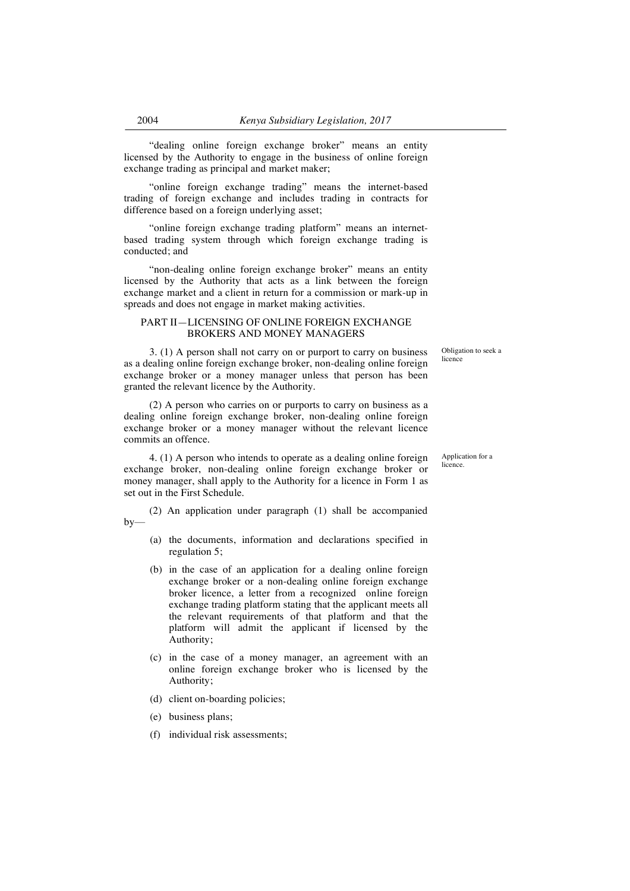"dealing online foreign exchange broker" means an entity licensed by the Authority to engage in the business of online foreign exchange trading as principal and market maker;

"online foreign exchange trading" means the internet-based trading of foreign exchange and includes trading in contracts for difference based on a foreign underlying asset;

"online foreign exchange trading platform" means an internetbased trading system through which foreign exchange trading is conducted; and

"non-dealing online foreign exchange broker" means an entity licensed by the Authority that acts as a link between the foreign exchange market and a client in return for a commission or mark-up in spreads and does not engage in market making activities.

## PART II—LICENSING OF ONLINE FOREIGN EXCHANGE BROKERS AND MONEY MANAGERS

3. (1) A person shall not carry on or purport to carry on business as a dealing online foreign exchange broker, non-dealing online foreign exchange broker or a money manager unless that person has been granted the relevant licence by the Authority.

(2) A person who carries on or purports to carry on business as a dealing online foreign exchange broker, non-dealing online foreign exchange broker or a money manager without the relevant licence commits an offence.

4. (1) A person who intends to operate as a dealing online foreign exchange broker, non-dealing online foreign exchange broker or money manager, shall apply to the Authority for a licence in Form 1 as set out in the First Schedule.

(2) An application under paragraph (1) shall be accompanied by—

- (a) the documents, information and declarations specified in regulation 5;
- (b) in the case of an application for a dealing online foreign exchange broker or a non-dealing online foreign exchange broker licence, a letter from a recognized online foreign exchange trading platform stating that the applicant meets all the relevant requirements of that platform and that the platform will admit the applicant if licensed by the Authority;
- (c) in the case of a money manager, an agreement with an online foreign exchange broker who is licensed by the Authority;
- (d) client on-boarding policies;
- (e) business plans;
- (f) individual risk assessments;

Obligation to seek a licence

Application for a licence.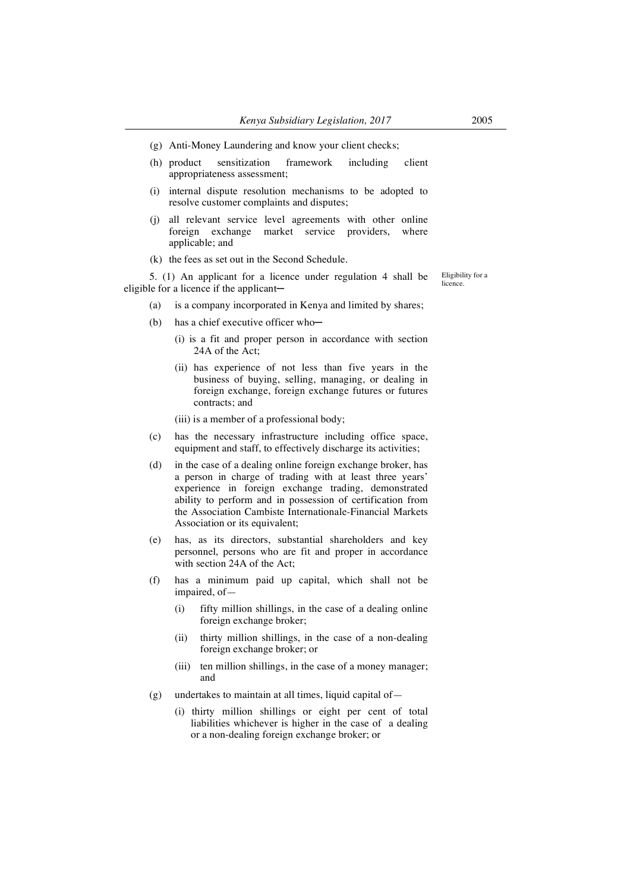- (g) Anti-Money Laundering and know your client checks;
- (h) product sensitization framework including client appropriateness assessment;
- (i) internal dispute resolution mechanisms to be adopted to resolve customer complaints and disputes;
- (j) all relevant service level agreements with other online foreign exchange market service providers, where applicable; and
- (k) the fees as set out in the Second Schedule.

5. (1) An applicant for a licence under regulation 4 shall be eligible for a licence if the applicant-

(a) is a company incorporated in Kenya and limited by shares;

- (b) has a chief executive officer who-
	- (i) is a fit and proper person in accordance with section 24A of the Act;
	- (ii) has experience of not less than five years in the business of buying, selling, managing, or dealing in foreign exchange, foreign exchange futures or futures contracts; and
	- (iii) is a member of a professional body;
- (c) has the necessary infrastructure including office space, equipment and staff, to effectively discharge its activities;
- (d) in the case of a dealing online foreign exchange broker, has a person in charge of trading with at least three years' experience in foreign exchange trading, demonstrated ability to perform and in possession of certification from the Association Cambiste Internationale-Financial Markets Association or its equivalent;
- (e) has, as its directors, substantial shareholders and key personnel, persons who are fit and proper in accordance with section 24A of the Act;
- (f) has a minimum paid up capital, which shall not be impaired, of—
	- (i) fifty million shillings, in the case of a dealing online foreign exchange broker;
	- (ii) thirty million shillings, in the case of a non-dealing foreign exchange broker; or
	- (iii) ten million shillings, in the case of a money manager; and
- $(g)$  undertakes to maintain at all times, liquid capital of
	- (i) thirty million shillings or eight per cent of total liabilities whichever is higher in the case of a dealing or a non-dealing foreign exchange broker; or

Eligibility for a licence.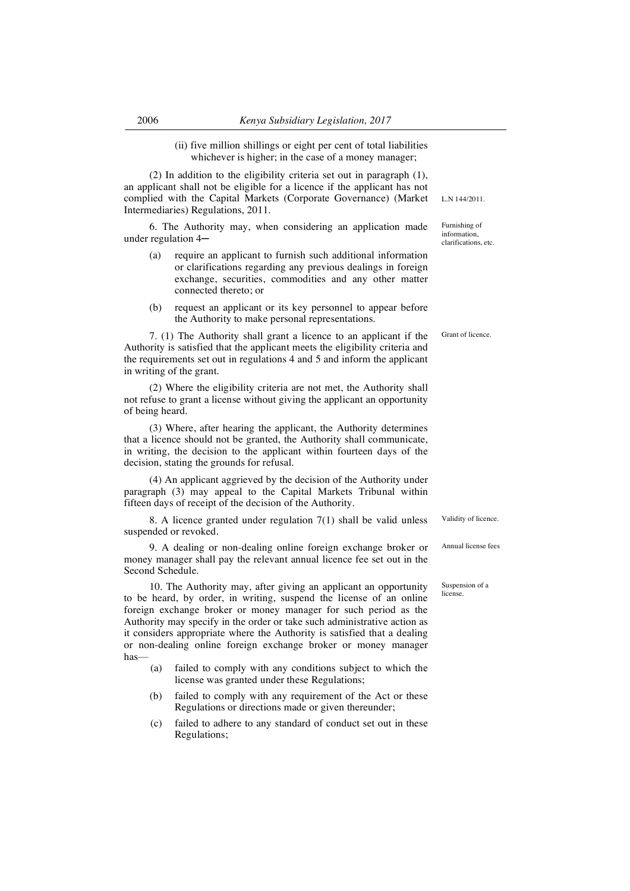(ii) five million shillings or eight per cent of total liabilities whichever is higher; in the case of a money manager;

(2) In addition to the eligibility criteria set out in paragraph (1), an applicant shall not be eligible for a licence if the applicant has not complied with the Capital Markets (Corporate Governance) (Market Intermediaries) Regulations, 2011.

6. The Authority may, when considering an application made under regulation 4─

- (a) require an applicant to furnish such additional information or clarifications regarding any previous dealings in foreign exchange, securities, commodities and any other matter connected thereto; or
- (b) request an applicant or its key personnel to appear before the Authority to make personal representations.

7. (1) The Authority shall grant a licence to an applicant if the Authority is satisfied that the applicant meets the eligibility criteria and the requirements set out in regulations 4 and 5 and inform the applicant in writing of the grant.

(2) Where the eligibility criteria are not met, the Authority shall not refuse to grant a license without giving the applicant an opportunity of being heard.

(3) Where, after hearing the applicant, the Authority determines that a licence should not be granted, the Authority shall communicate, in writing, the decision to the applicant within fourteen days of the decision, stating the grounds for refusal.

(4) An applicant aggrieved by the decision of the Authority under paragraph (3) may appeal to the Capital Markets Tribunal within fifteen days of receipt of the decision of the Authority.

8. A licence granted under regulation 7(1) shall be valid unless suspended or revoked.

9. A dealing or non-dealing online foreign exchange broker or money manager shall pay the relevant annual licence fee set out in the Second Schedule.

10. The Authority may, after giving an applicant an opportunity to be heard, by order, in writing, suspend the license of an online foreign exchange broker or money manager for such period as the Authority may specify in the order or take such administrative action as it considers appropriate where the Authority is satisfied that a dealing or non-dealing online foreign exchange broker or money manager has—

- (a) failed to comply with any conditions subject to which the license was granted under these Regulations;
- (b) failed to comply with any requirement of the Act or these Regulations or directions made or given thereunder;
- (c) failed to adhere to any standard of conduct set out in these Regulations;

L.N 144/2011.

Furnishing of information, clarifications, etc.

Grant of licence.

Validity of licence.

Annual license fees

Suspension of a license.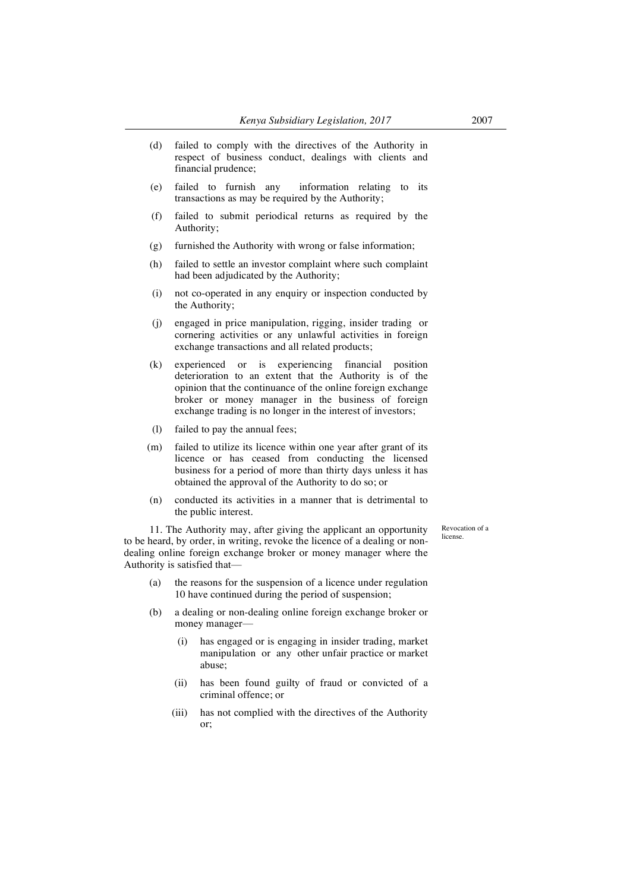- (d) failed to comply with the directives of the Authority in respect of business conduct, dealings with clients and financial prudence;
- (e) failed to furnish any information relating to its transactions as may be required by the Authority;
- (f) failed to submit periodical returns as required by the Authority;
- (g) furnished the Authority with wrong or false information;
- (h) failed to settle an investor complaint where such complaint had been adjudicated by the Authority;
- (i) not co-operated in any enquiry or inspection conducted by the Authority;
- (j) engaged in price manipulation, rigging, insider trading or cornering activities or any unlawful activities in foreign exchange transactions and all related products;
- (k) experienced or is experiencing financial position deterioration to an extent that the Authority is of the opinion that the continuance of the online foreign exchange broker or money manager in the business of foreign exchange trading is no longer in the interest of investors;
- (l) failed to pay the annual fees;
- (m) failed to utilize its licence within one year after grant of its licence or has ceased from conducting the licensed business for a period of more than thirty days unless it has obtained the approval of the Authority to do so; or
- (n) conducted its activities in a manner that is detrimental to the public interest.

Revocation of a license.

11. The Authority may, after giving the applicant an opportunity to be heard, by order, in writing, revoke the licence of a dealing or nondealing online foreign exchange broker or money manager where the Authority is satisfied that—

- (a) the reasons for the suspension of a licence under regulation 10 have continued during the period of suspension;
- (b) a dealing or non-dealing online foreign exchange broker or money manager—
	- (i) has engaged or is engaging in insider trading, market manipulation or any other unfair practice or market abuse;
	- (ii) has been found guilty of fraud or convicted of a criminal offence; or
	- (iii) has not complied with the directives of the Authority or;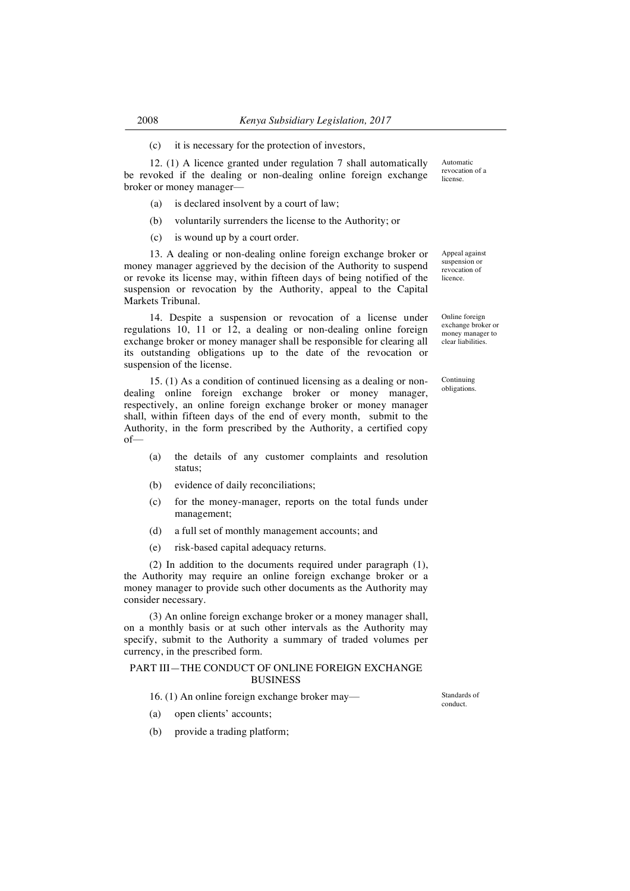(c) it is necessary for the protection of investors,

12. (1) A licence granted under regulation 7 shall automatically be revoked if the dealing or non-dealing online foreign exchange broker or money manager—

- (a) is declared insolvent by a court of law;
- (b) voluntarily surrenders the license to the Authority; or
- (c) is wound up by a court order.

13. A dealing or non-dealing online foreign exchange broker or money manager aggrieved by the decision of the Authority to suspend or revoke its license may, within fifteen days of being notified of the suspension or revocation by the Authority, appeal to the Capital Markets Tribunal.

14. Despite a suspension or revocation of a license under regulations 10, 11 or 12, a dealing or non-dealing online foreign exchange broker or money manager shall be responsible for clearing all its outstanding obligations up to the date of the revocation or suspension of the license.

15. (1) As a condition of continued licensing as a dealing or nondealing online foreign exchange broker or money manager, respectively, an online foreign exchange broker or money manager shall, within fifteen days of the end of every month, submit to the Authority, in the form prescribed by the Authority, a certified copy of—

- (a) the details of any customer complaints and resolution status;
- (b) evidence of daily reconciliations;
- (c) for the money-manager, reports on the total funds under management;
- (d) a full set of monthly management accounts; and
- (e) risk-based capital adequacy returns.

(2) In addition to the documents required under paragraph (1), the Authority may require an online foreign exchange broker or a money manager to provide such other documents as the Authority may consider necessary.

(3) An online foreign exchange broker or a money manager shall, on a monthly basis or at such other intervals as the Authority may specify, submit to the Authority a summary of traded volumes per currency, in the prescribed form.

## PART III—THE CONDUCT OF ONLINE FOREIGN EXCHANGE BUSINESS

- 16. (1) An online foreign exchange broker may— Standards of
- (a) open clients' accounts;
- (b) provide a trading platform;

Automatic revocation of a license.

Appeal against suspension or revocation of licence.

Online foreign exchange broker or money manager to clear liabilities.

Continuing obligations.

conduct.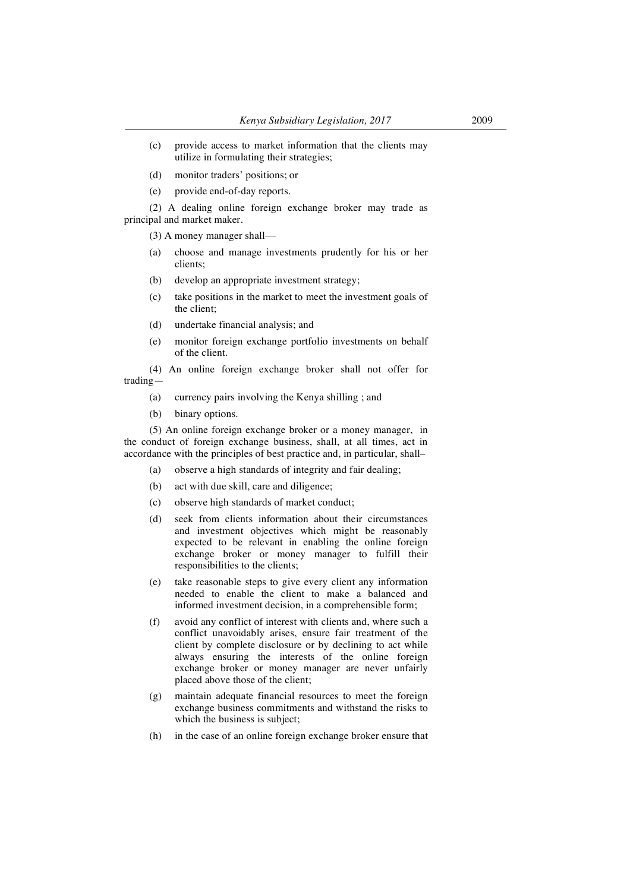- (c) provide access to market information that the clients may utilize in formulating their strategies;
- (d) monitor traders' positions; or
- (e) provide end-of-day reports.

(2) A dealing online foreign exchange broker may trade as principal and market maker.

(3) A money manager shall—

- (a) choose and manage investments prudently for his or her clients;
- (b) develop an appropriate investment strategy;
- (c) take positions in the market to meet the investment goals of the client;
- (d) undertake financial analysis; and
- (e) monitor foreign exchange portfolio investments on behalf of the client.

(4) An online foreign exchange broker shall not offer for trading—

- (a) currency pairs involving the Kenya shilling ; and
- (b) binary options.

(5) An online foreign exchange broker or a money manager, in the conduct of foreign exchange business, shall, at all times, act in accordance with the principles of best practice and, in particular, shall–

- (a) observe a high standards of integrity and fair dealing;
- (b) act with due skill, care and diligence;
- (c) observe high standards of market conduct;
- (d) seek from clients information about their circumstances and investment objectives which might be reasonably expected to be relevant in enabling the online foreign exchange broker or money manager to fulfill their responsibilities to the clients;
- (e) take reasonable steps to give every client any information needed to enable the client to make a balanced and informed investment decision, in a comprehensible form;
- (f) avoid any conflict of interest with clients and, where such a conflict unavoidably arises, ensure fair treatment of the client by complete disclosure or by declining to act while always ensuring the interests of the online foreign exchange broker or money manager are never unfairly placed above those of the client;
- (g) maintain adequate financial resources to meet the foreign exchange business commitments and withstand the risks to which the business is subject;
- (h) in the case of an online foreign exchange broker ensure that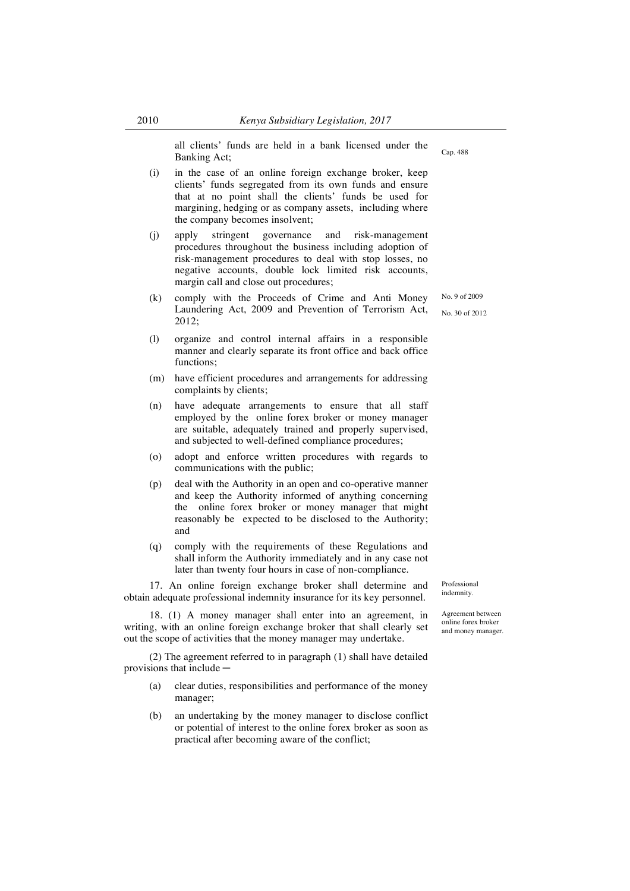all clients' funds are held in a bank licensed under the Banking Act; Cap. 488

- (i) in the case of an online foreign exchange broker, keep clients' funds segregated from its own funds and ensure that at no point shall the clients' funds be used for margining, hedging or as company assets, including where the company becomes insolvent;
- (j) apply stringent governance and risk-management procedures throughout the business including adoption of risk-management procedures to deal with stop losses, no negative accounts, double lock limited risk accounts, margin call and close out procedures;
- (k) comply with the Proceeds of Crime and Anti Money Laundering Act, 2009 and Prevention of Terrorism Act, 2012;
- (l) organize and control internal affairs in a responsible manner and clearly separate its front office and back office functions:
- (m) have efficient procedures and arrangements for addressing complaints by clients;
- (n) have adequate arrangements to ensure that all staff employed by the online forex broker or money manager are suitable, adequately trained and properly supervised, and subjected to well-defined compliance procedures;
- (o) adopt and enforce written procedures with regards to communications with the public;
- (p) deal with the Authority in an open and co-operative manner and keep the Authority informed of anything concerning the online forex broker or money manager that might reasonably be expected to be disclosed to the Authority; and
- (q) comply with the requirements of these Regulations and shall inform the Authority immediately and in any case not later than twenty four hours in case of non-compliance.

17. An online foreign exchange broker shall determine and obtain adequate professional indemnity insurance for its key personnel.

18. (1) A money manager shall enter into an agreement, in writing, with an online foreign exchange broker that shall clearly set out the scope of activities that the money manager may undertake.

(2) The agreement referred to in paragraph (1) shall have detailed provisions that include ─

- (a) clear duties, responsibilities and performance of the money manager;
- (b) an undertaking by the money manager to disclose conflict or potential of interest to the online forex broker as soon as practical after becoming aware of the conflict;

Professional indemnity.

Agreement between online forex broker and money manager.

No. 9 of 2009 No. 30 of 2012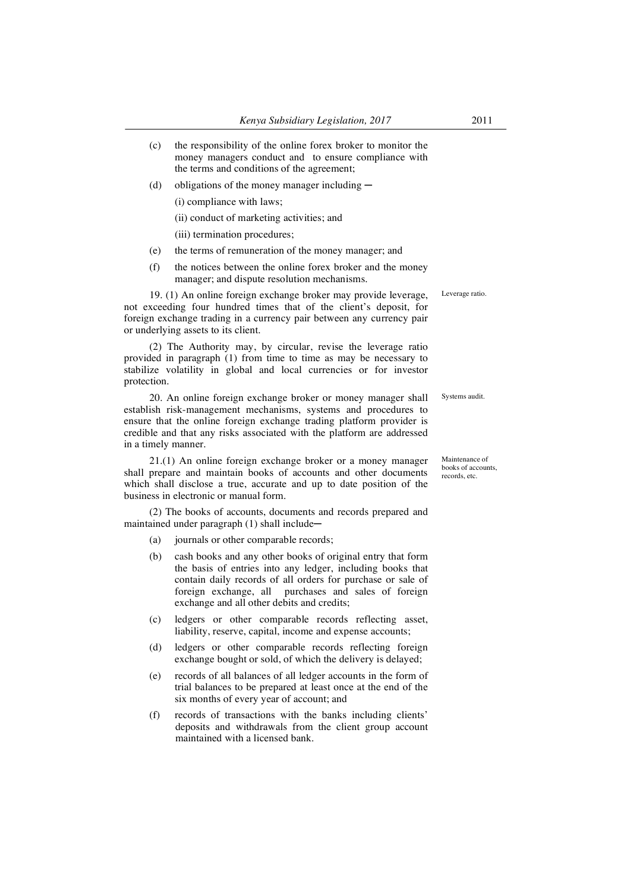- (c) the responsibility of the online forex broker to monitor the money managers conduct and to ensure compliance with the terms and conditions of the agreement;
- (d) obligations of the money manager including  $-$

(i) compliance with laws;

- (ii) conduct of marketing activities; and
	- (iii) termination procedures;
- (e) the terms of remuneration of the money manager; and
- (f) the notices between the online forex broker and the money manager; and dispute resolution mechanisms.

19. (1) An online foreign exchange broker may provide leverage, not exceeding four hundred times that of the client's deposit, for foreign exchange trading in a currency pair between any currency pair or underlying assets to its client.

(2) The Authority may, by circular, revise the leverage ratio provided in paragraph (1) from time to time as may be necessary to stabilize volatility in global and local currencies or for investor protection.

20. An online foreign exchange broker or money manager shall establish risk-management mechanisms, systems and procedures to ensure that the online foreign exchange trading platform provider is credible and that any risks associated with the platform are addressed in a timely manner. Systems audit.

21.(1) An online foreign exchange broker or a money manager shall prepare and maintain books of accounts and other documents which shall disclose a true, accurate and up to date position of the business in electronic or manual form.

(2) The books of accounts, documents and records prepared and maintained under paragraph (1) shall include-

- (a) journals or other comparable records;
- (b) cash books and any other books of original entry that form the basis of entries into any ledger, including books that contain daily records of all orders for purchase or sale of foreign exchange, all purchases and sales of foreign exchange and all other debits and credits;
- (c) ledgers or other comparable records reflecting asset, liability, reserve, capital, income and expense accounts;
- (d) ledgers or other comparable records reflecting foreign exchange bought or sold, of which the delivery is delayed;
- (e) records of all balances of all ledger accounts in the form of trial balances to be prepared at least once at the end of the six months of every year of account; and
- (f) records of transactions with the banks including clients' deposits and withdrawals from the client group account maintained with a licensed bank.

Maintenance of books of accounts, records, etc.

Leverage ratio.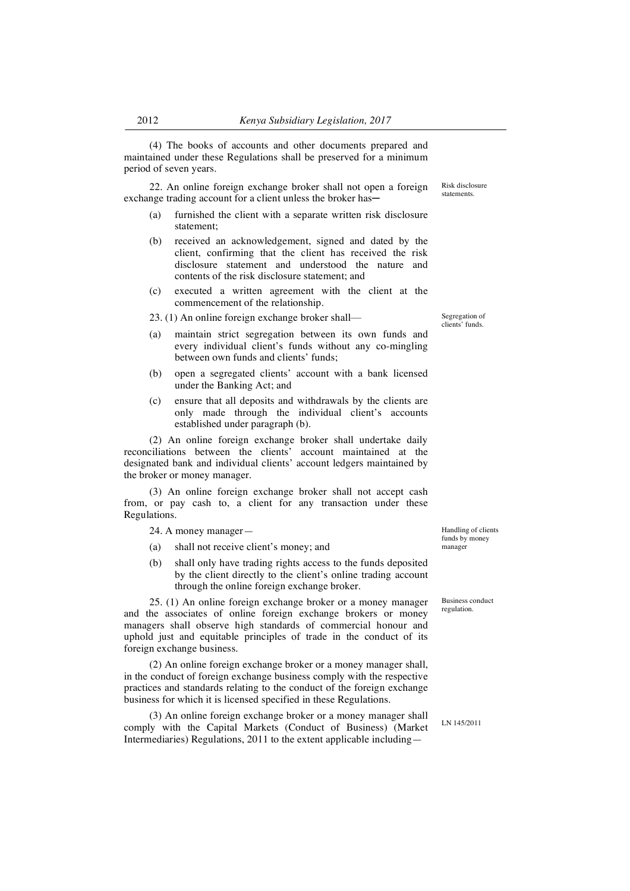(4) The books of accounts and other documents prepared and maintained under these Regulations shall be preserved for a minimum period of seven years.

22. An online foreign exchange broker shall not open a foreign exchange trading account for a client unless the broker has—

- (a) furnished the client with a separate written risk disclosure statement;
- (b) received an acknowledgement, signed and dated by the client, confirming that the client has received the risk disclosure statement and understood the nature and contents of the risk disclosure statement; and
- (c) executed a written agreement with the client at the commencement of the relationship.

23. (1) An online foreign exchange broker shall— Segregation of

- (a) maintain strict segregation between its own funds and every individual client's funds without any co-mingling between own funds and clients' funds;
- (b) open a segregated clients' account with a bank licensed under the Banking Act; and
- (c) ensure that all deposits and withdrawals by the clients are only made through the individual client's accounts established under paragraph (b).

(2) An online foreign exchange broker shall undertake daily reconciliations between the clients' account maintained at the designated bank and individual clients' account ledgers maintained by the broker or money manager.

(3) An online foreign exchange broker shall not accept cash from, or pay cash to, a client for any transaction under these Regulations.

24. A money manager—

- (a) shall not receive client's money; and
- (b) shall only have trading rights access to the funds deposited by the client directly to the client's online trading account through the online foreign exchange broker.

25. (1) An online foreign exchange broker or a money manager and the associates of online foreign exchange brokers or money managers shall observe high standards of commercial honour and uphold just and equitable principles of trade in the conduct of its foreign exchange business.

(2) An online foreign exchange broker or a money manager shall, in the conduct of foreign exchange business comply with the respective practices and standards relating to the conduct of the foreign exchange business for which it is licensed specified in these Regulations.

(3) An online foreign exchange broker or a money manager shall comply with the Capital Markets (Conduct of Business) (Market Intermediaries) Regulations, 2011 to the extent applicable includingHandling of clients funds by money manager

Business conduct regulation.

clients' funds.

Risk disclosure statements.

LN 145/2011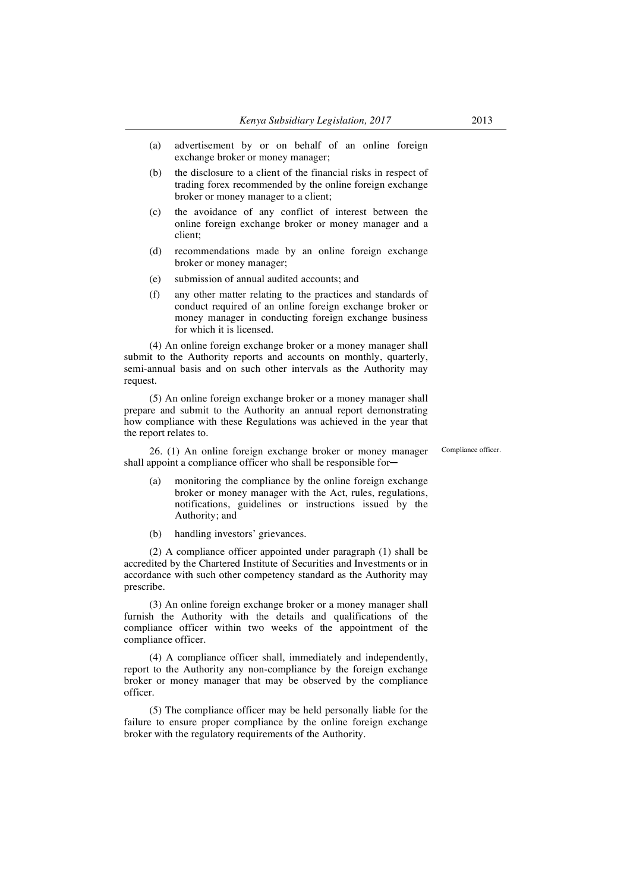- (a) advertisement by or on behalf of an online foreign exchange broker or money manager;
- (b) the disclosure to a client of the financial risks in respect of trading forex recommended by the online foreign exchange broker or money manager to a client;
- (c) the avoidance of any conflict of interest between the online foreign exchange broker or money manager and a client;
- (d) recommendations made by an online foreign exchange broker or money manager;
- (e) submission of annual audited accounts; and
- (f) any other matter relating to the practices and standards of conduct required of an online foreign exchange broker or money manager in conducting foreign exchange business for which it is licensed.

(4) An online foreign exchange broker or a money manager shall submit to the Authority reports and accounts on monthly, quarterly, semi-annual basis and on such other intervals as the Authority may request.

(5) An online foreign exchange broker or a money manager shall prepare and submit to the Authority an annual report demonstrating how compliance with these Regulations was achieved in the year that the report relates to.

26. (1) An online foreign exchange broker or money manager shall appoint a compliance officer who shall be responsible forCompliance officer.

- (a) monitoring the compliance by the online foreign exchange broker or money manager with the Act, rules, regulations, notifications, guidelines or instructions issued by the Authority; and
- (b) handling investors' grievances.

(2) A compliance officer appointed under paragraph (1) shall be accredited by the Chartered Institute of Securities and Investments or in accordance with such other competency standard as the Authority may prescribe.

(3) An online foreign exchange broker or a money manager shall furnish the Authority with the details and qualifications of the compliance officer within two weeks of the appointment of the compliance officer.

(4) A compliance officer shall, immediately and independently, report to the Authority any non-compliance by the foreign exchange broker or money manager that may be observed by the compliance officer.

(5) The compliance officer may be held personally liable for the failure to ensure proper compliance by the online foreign exchange broker with the regulatory requirements of the Authority.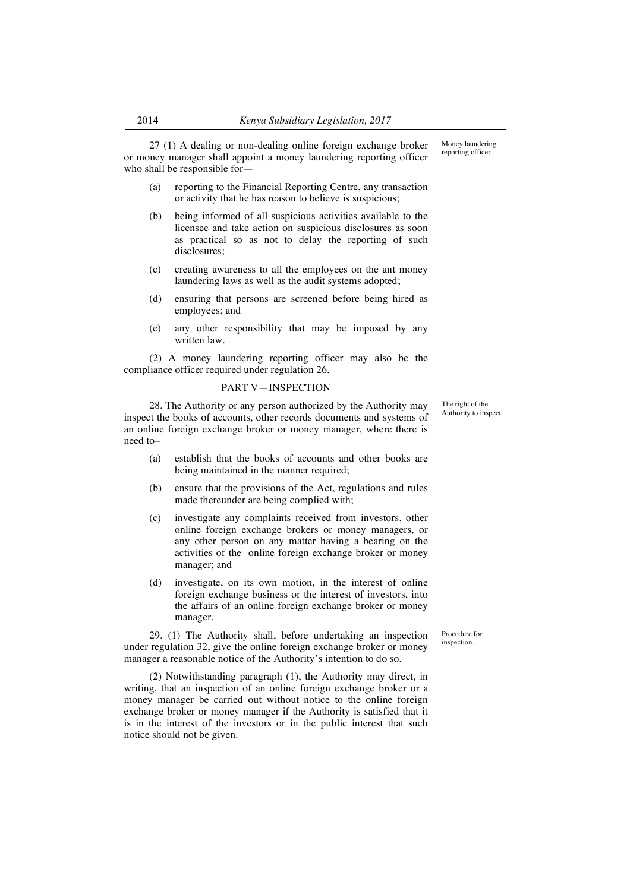27 (1) A dealing or non-dealing online foreign exchange broker or money manager shall appoint a money laundering reporting officer who shall be responsible for—

- (a) reporting to the Financial Reporting Centre, any transaction or activity that he has reason to believe is suspicious;
- (b) being informed of all suspicious activities available to the licensee and take action on suspicious disclosures as soon as practical so as not to delay the reporting of such disclosures;
- (c) creating awareness to all the employees on the ant money laundering laws as well as the audit systems adopted;
- (d) ensuring that persons are screened before being hired as employees; and
- (e) any other responsibility that may be imposed by any written law.

(2) A money laundering reporting officer may also be the compliance officer required under regulation 26.

## PART V—INSPECTION

28. The Authority or any person authorized by the Authority may inspect the books of accounts, other records documents and systems of an online foreign exchange broker or money manager, where there is need to–

- (a) establish that the books of accounts and other books are being maintained in the manner required;
- (b) ensure that the provisions of the Act, regulations and rules made thereunder are being complied with;
- (c) investigate any complaints received from investors, other online foreign exchange brokers or money managers, or any other person on any matter having a bearing on the activities of the online foreign exchange broker or money manager; and
- (d) investigate, on its own motion, in the interest of online foreign exchange business or the interest of investors, into the affairs of an online foreign exchange broker or money manager.

29. (1) The Authority shall, before undertaking an inspection under regulation 32, give the online foreign exchange broker or money manager a reasonable notice of the Authority's intention to do so.

(2) Notwithstanding paragraph (1), the Authority may direct, in writing, that an inspection of an online foreign exchange broker or a money manager be carried out without notice to the online foreign exchange broker or money manager if the Authority is satisfied that it is in the interest of the investors or in the public interest that such notice should not be given.

The right of the Authority to inspect.

Money laundering reporting officer.

Procedure for inspection.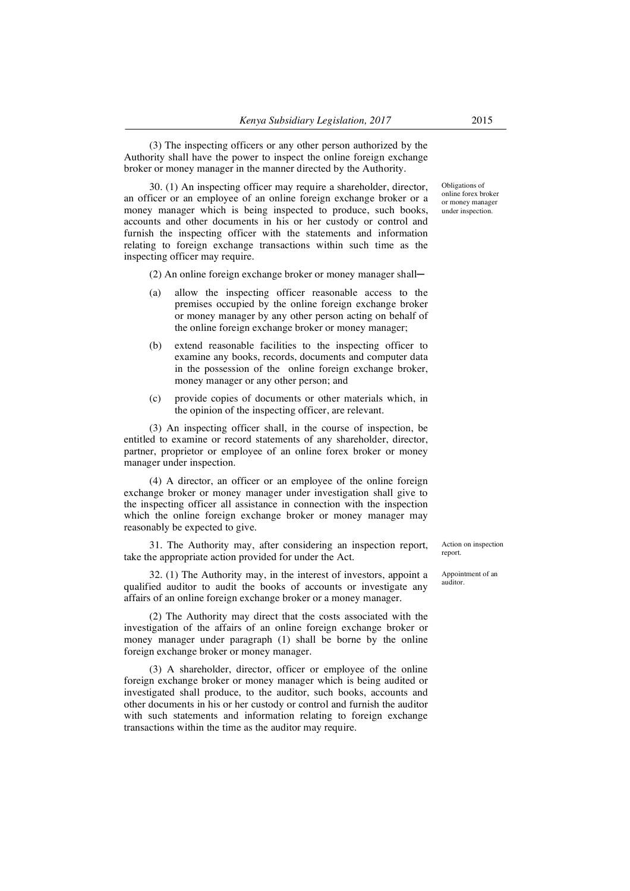(3) The inspecting officers or any other person authorized by the Authority shall have the power to inspect the online foreign exchange broker or money manager in the manner directed by the Authority.

30. (1) An inspecting officer may require a shareholder, director, an officer or an employee of an online foreign exchange broker or a money manager which is being inspected to produce, such books, accounts and other documents in his or her custody or control and furnish the inspecting officer with the statements and information relating to foreign exchange transactions within such time as the inspecting officer may require.

 $(2)$  An online foreign exchange broker or money manager shall—

- (a) allow the inspecting officer reasonable access to the premises occupied by the online foreign exchange broker or money manager by any other person acting on behalf of the online foreign exchange broker or money manager;
- (b) extend reasonable facilities to the inspecting officer to examine any books, records, documents and computer data in the possession of the online foreign exchange broker, money manager or any other person; and
- (c) provide copies of documents or other materials which, in the opinion of the inspecting officer, are relevant.

(3) An inspecting officer shall, in the course of inspection, be entitled to examine or record statements of any shareholder, director, partner, proprietor or employee of an online forex broker or money manager under inspection.

(4) A director, an officer or an employee of the online foreign exchange broker or money manager under investigation shall give to the inspecting officer all assistance in connection with the inspection which the online foreign exchange broker or money manager may reasonably be expected to give.

31. The Authority may, after considering an inspection report, take the appropriate action provided for under the Act.

32. (1) The Authority may, in the interest of investors, appoint a qualified auditor to audit the books of accounts or investigate any affairs of an online foreign exchange broker or a money manager.

(2) The Authority may direct that the costs associated with the investigation of the affairs of an online foreign exchange broker or money manager under paragraph (1) shall be borne by the online foreign exchange broker or money manager.

(3) A shareholder, director, officer or employee of the online foreign exchange broker or money manager which is being audited or investigated shall produce, to the auditor, such books, accounts and other documents in his or her custody or control and furnish the auditor with such statements and information relating to foreign exchange transactions within the time as the auditor may require.

Obligations of online forex broker or money manager under inspection.

Action on inspection report.

Appointment of an auditor.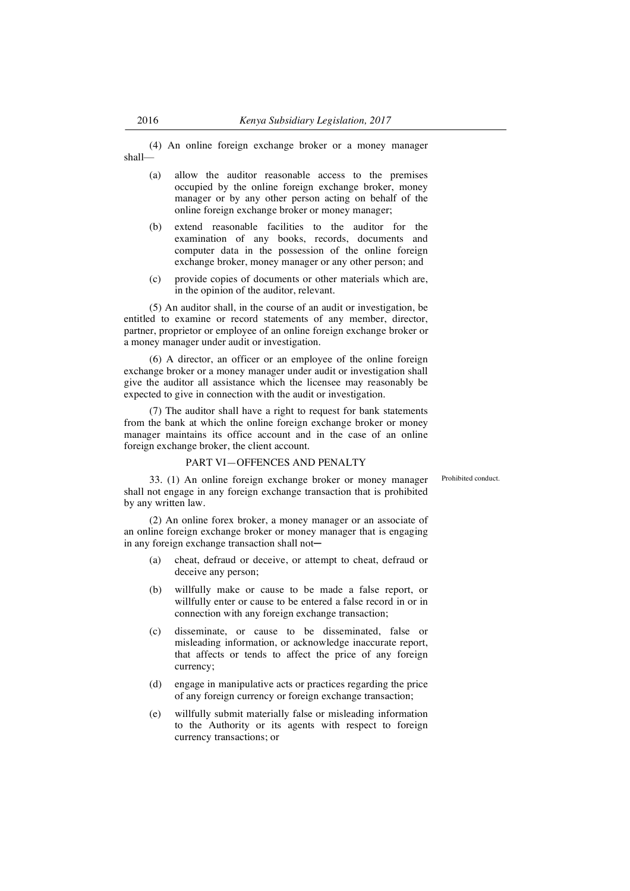(4) An online foreign exchange broker or a money manager shall—

- (a) allow the auditor reasonable access to the premises occupied by the online foreign exchange broker, money manager or by any other person acting on behalf of the online foreign exchange broker or money manager;
- (b) extend reasonable facilities to the auditor for the examination of any books, records, documents and computer data in the possession of the online foreign exchange broker, money manager or any other person; and
- (c) provide copies of documents or other materials which are, in the opinion of the auditor, relevant.

(5) An auditor shall, in the course of an audit or investigation, be entitled to examine or record statements of any member, director, partner, proprietor or employee of an online foreign exchange broker or a money manager under audit or investigation.

(6) A director, an officer or an employee of the online foreign exchange broker or a money manager under audit or investigation shall give the auditor all assistance which the licensee may reasonably be expected to give in connection with the audit or investigation.

(7) The auditor shall have a right to request for bank statements from the bank at which the online foreign exchange broker or money manager maintains its office account and in the case of an online foreign exchange broker, the client account.

### PART VI—OFFENCES AND PENALTY

Prohibited conduct.

33. (1) An online foreign exchange broker or money manager shall not engage in any foreign exchange transaction that is prohibited by any written law.

(2) An online forex broker, a money manager or an associate of an online foreign exchange broker or money manager that is engaging in any foreign exchange transaction shall not-

- (a) cheat, defraud or deceive, or attempt to cheat, defraud or deceive any person;
- (b) willfully make or cause to be made a false report, or willfully enter or cause to be entered a false record in or in connection with any foreign exchange transaction;
- (c) disseminate, or cause to be disseminated, false or misleading information, or acknowledge inaccurate report, that affects or tends to affect the price of any foreign currency;
- (d) engage in manipulative acts or practices regarding the price of any foreign currency or foreign exchange transaction;
- (e) willfully submit materially false or misleading information to the Authority or its agents with respect to foreign currency transactions; or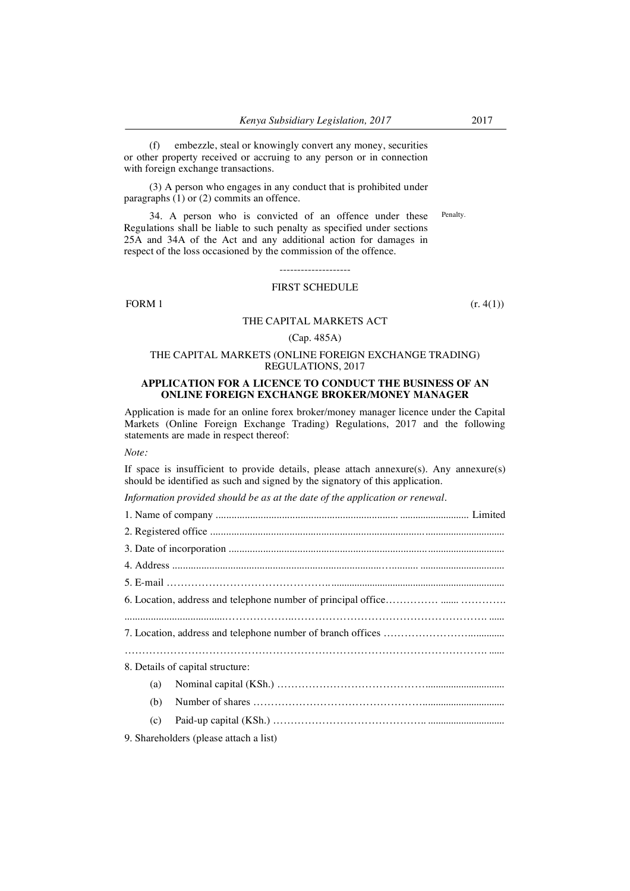(f) embezzle, steal or knowingly convert any money, securities or other property received or accruing to any person or in connection with foreign exchange transactions.

(3) A person who engages in any conduct that is prohibited under paragraphs (1) or (2) commits an offence.

34. A person who is convicted of an offence under these Regulations shall be liable to such penalty as specified under sections 25A and 34A of the Act and any additional action for damages in respect of the loss occasioned by the commission of the offence. Penalty.

# FIRST SCHEDULE

FORM 1  $(r. 4(1))$ 

## THE CAPITAL MARKETS ACT

### (Cap. 485A)

# THE CAPITAL MARKETS (ONLINE FOREIGN EXCHANGE TRADING) REGULATIONS, 2017

### **APPLICATION FOR A LICENCE TO CONDUCT THE BUSINESS OF AN ONLINE FOREIGN EXCHANGE BROKER/MONEY MANAGER**

Application is made for an online forex broker/money manager licence under the Capital Markets (Online Foreign Exchange Trading) Regulations, 2017 and the following statements are made in respect thereof:

*Note:*

If space is insufficient to provide details, please attach annexure(s). Any annexure(s) should be identified as such and signed by the signatory of this application.

*Information provided should be as at the date of the application or renewal.*

| 8. Details of capital structure:       |
|----------------------------------------|
| (a)                                    |
| (b)                                    |
| (c)                                    |
| 9. Shareholders (please attach a list) |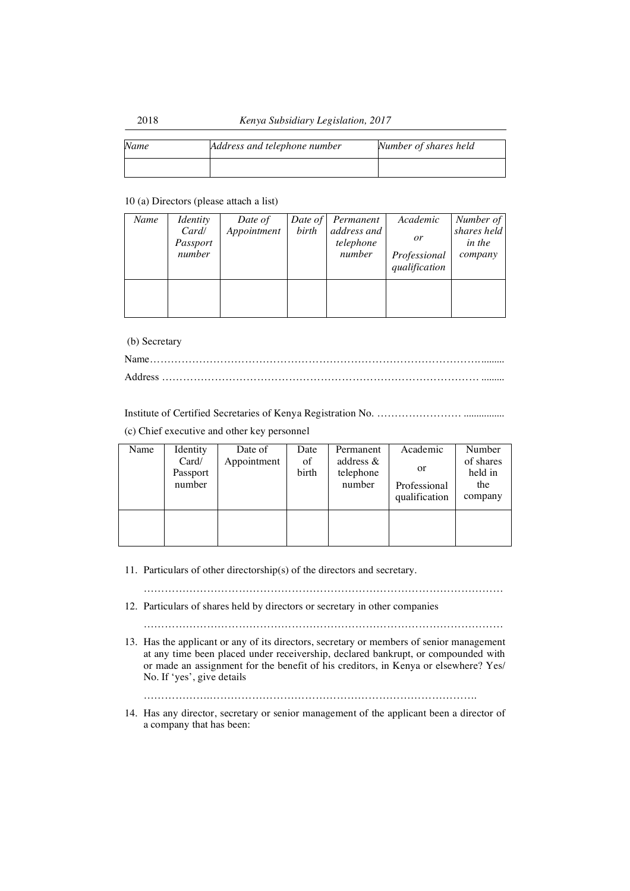| Name | Address and telephone number | Number of shares held |
|------|------------------------------|-----------------------|
|      |                              |                       |

# 10 (a) Directors (please attach a list)

| Name | <i>Identity</i><br>Card/<br>Passport<br>number | Date of<br>Appointment | birth | Date of Permanent<br>address and<br>telephone<br>number | Academic<br><i>or</i><br>Professional<br>qualification | Number of<br>shares held<br>in the<br>company |
|------|------------------------------------------------|------------------------|-------|---------------------------------------------------------|--------------------------------------------------------|-----------------------------------------------|
|      |                                                |                        |       |                                                         |                                                        |                                               |

(b) Secretary

Institute of Certified Secretaries of Kenya Registration No. …………………… ................

(c) Chief executive and other key personnel

| Name | Identity<br>Card/  | Date of<br>Appointment | Date<br>of | Permanent<br>address $\&$ | Academic                            | Number<br>of shares       |
|------|--------------------|------------------------|------------|---------------------------|-------------------------------------|---------------------------|
|      | Passport<br>number |                        | birth      | telephone<br>number       | or<br>Professional<br>qualification | held in<br>the<br>company |
|      |                    |                        |            |                           |                                     |                           |

11. Particulars of other directorship(s) of the directors and secretary.

…………………………………………………………………………………………

12. Particulars of shares held by directors or secretary in other companies

…………………………………………………………………………………………

13. Has the applicant or any of its directors, secretary or members of senior management at any time been placed under receivership, declared bankrupt, or compounded with or made an assignment for the benefit of his creditors, in Kenya or elsewhere? Yes/ No. If 'yes', give details

……………….………………………………………………………………….

14. Has any director, secretary or senior management of the applicant been a director of a company that has been: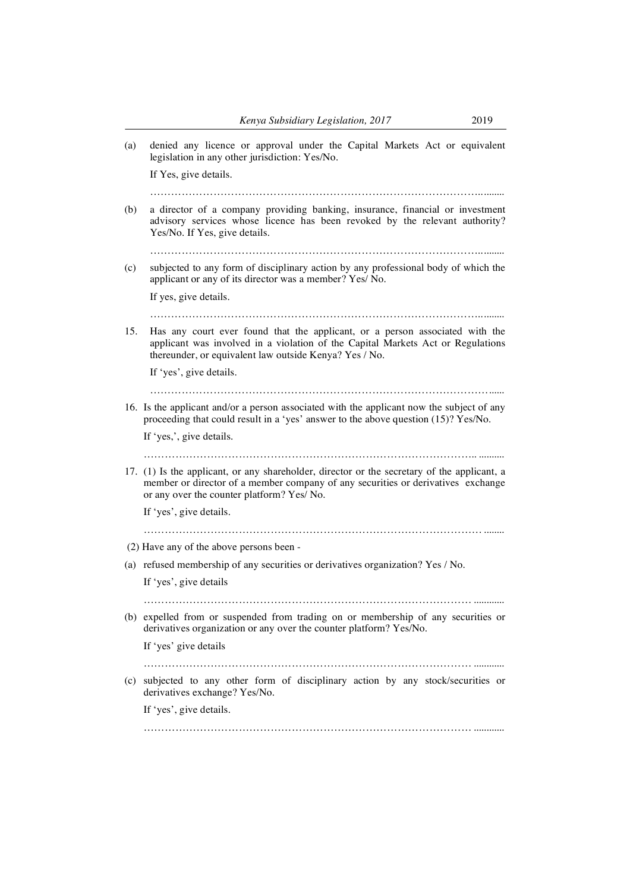- (a) denied any licence or approval under the Capital Markets Act or equivalent legislation in any other jurisdiction: Yes/No. If Yes, give details.
	- …………………………………………………………………………………..........
- (b) a director of a company providing banking, insurance, financial or investment advisory services whose licence has been revoked by the relevant authority? Yes/No. If Yes, give details.

…………………………………………………………………………………..........

(c) subjected to any form of disciplinary action by any professional body of which the applicant or any of its director was a member? Yes/ No.

If yes, give details.

…………………………………………………………………………………..........

15. Has any court ever found that the applicant, or a person associated with the applicant was involved in a violation of the Capital Markets Act or Regulations thereunder, or equivalent law outside Kenya? Yes / No.

If 'yes', give details.

……………………………………………………………………………………......

16. Is the applicant and/or a person associated with the applicant now the subject of any proceeding that could result in a 'yes' answer to the above question (15)? Yes/No.

If 'yes,', give details.

………………………………………………………………………………….. ..........

17. (1) Is the applicant, or any shareholder, director or the secretary of the applicant, a member or director of a member company of any securities or derivatives exchange or any over the counter platform? Yes/ No.

If 'yes', give details.

…………………………………………………………………………………… ........

- (2) Have any of the above persons been -
- (a) refused membership of any securities or derivatives organization? Yes / No.

If 'yes', give details

………………………………………………………………………………… ............

(b) expelled from or suspended from trading on or membership of any securities or derivatives organization or any over the counter platform? Yes/No.

If 'yes' give details

………………………………………………………………………………… ............

(c) subjected to any other form of disciplinary action by any stock/securities or derivatives exchange? Yes/No.

If 'yes', give details.

 $\mathcal{L}^{(n)}$  . The contract of the contract of the contract of the contract of the contract of the contract of the contract of the contract of the contract of the contract of the contract of the contract of the contract o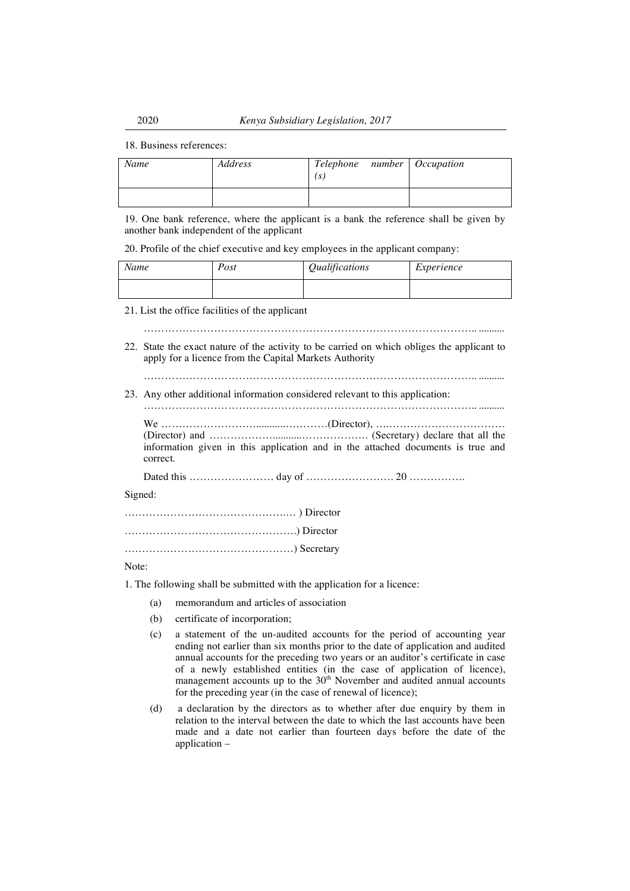18. Business references:

| Name | Address | Telephone number Occupation<br>S. |  |
|------|---------|-----------------------------------|--|
|      |         |                                   |  |

19. One bank reference, where the applicant is a bank the reference shall be given by another bank independent of the applicant

20. Profile of the chief executive and key employees in the applicant company:

| Name | Post | Qualifications | Experience |
|------|------|----------------|------------|
|      |      |                |            |

21. List the office facilities of the applicant

………………………………………………………………………………….. ..........

22. State the exact nature of the activity to be carried on which obliges the applicant to apply for a licence from the Capital Markets Authority

………………………………………………………………………………….. ..........

23. Any other additional information considered relevant to this application:

………………………………………………………………………………….. ..........

We ………………………...........…………(Director), ….…………………………… (Director) and ………………...........………………. (Secretary) declare that all the information given in this application and in the attached documents is true and correct. Dated this …………………… day of ……………………. 20 …………….

Signed:

Note:

1. The following shall be submitted with the application for a licence:

- (a) memorandum and articles of association
- (b) certificate of incorporation;
- (c) a statement of the un-audited accounts for the period of accounting year ending not earlier than six months prior to the date of application and audited annual accounts for the preceding two years or an auditor's certificate in case of a newly established entities (in the case of application of licence), management accounts up to the  $30<sup>th</sup>$  November and audited annual accounts for the preceding year (in the case of renewal of licence);
- (d) a declaration by the directors as to whether after due enquiry by them in relation to the interval between the date to which the last accounts have been made and a date not earlier than fourteen days before the date of the application –